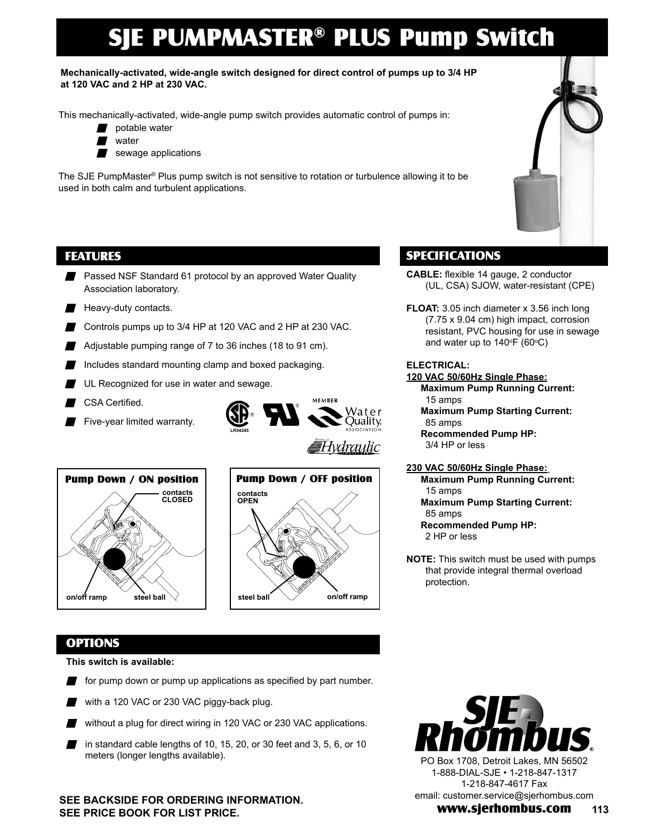# SJE PUMPMASTER® PLUS Pump Switch

**Mechanically-activated, wide-angle switch designed for direct control of pumps up to 3/4 HP at 120 VAC and 2 HP at 230 VAC.**

This mechanically-activated, wide-angle pump switch provides automatic control of pumps in:

- potable water
- $\blacksquare$  water
- $\blacksquare$  sewage applications

The SJE PumpMaster® Plus pump switch is not sensitive to rotation or turbulence allowing it to be used in both calm and turbulent applications.

# FEATURES

- **Passed NSF Standard 61 protocol by an approved Water Quality** Association laboratory.
- $\blacksquare$  Heavy-duty contacts.
- Controls pumps up to  $3/4$  HP at 120 VAC and 2 HP at 230 VAC.
- Adjustable pumping range of  $7$  to  $36$  inches (18 to  $91$  cm).
- $\blacksquare$  Includes standard mounting clamp and boxed packaging.
- UL Recognized for use in water and sewage.
- CSA Certified.
- $\blacksquare$  Five-year limited warranty.







# SPECIFICATIONS

- **CABLE:** flexible 14 gauge, 2 conductor (UL, CSA) SJOW, water-resistant (CPE)
- **FLOAT:** 3.05 inch diameter x 3.56 inch long (7.75 x 9.04 cm) high impact, corrosion resistant, PVC housing for use in sewage and water up to 140°F (60°C)

### **ELECTRICAL:**

### **120 VAC 50/60Hz Single Phase:**

- **Maximum Pump Running Current:**  15 amps **Maximum Pump Starting Current:**
- 85 amps **Recommended Pump HP:**
- 3/4 HP or less

#### **230 VAC 50/60Hz Single Phase:**

- **Maximum Pump Running Current:**  15 amps **Maximum Pump Starting Current:** 
	- 85 amps
- **Recommended Pump HP:**  2 HP or less
- **NOTE:** This switch must be used with pumps that provide integral thermal overload protection.

## OPTIONS

**This switch is available:**

- $\blacksquare$  for pump down or pump up applications as specified by part number.
- with a 120 VAC or 230 VAC piggy-back plug.
- without a plug for direct wiring in 120 VAC or 230 VAC applications.
- n in standard cable lengths of 10, 15, 20, or 30 feet and 3, 5, 6, or 10 meters (longer lengths available).